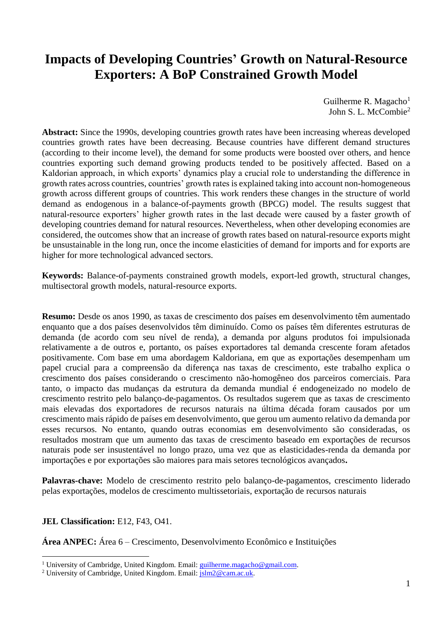# **Impacts of Developing Countries' Growth on Natural-Resource Exporters: A BoP Constrained Growth Model**

Guilherme R. Magacho $<sup>1</sup>$ </sup> John S. L. McCombie<sup>2</sup>

**Abstract:** Since the 1990s, developing countries growth rates have been increasing whereas developed countries growth rates have been decreasing. Because countries have different demand structures (according to their income level), the demand for some products were boosted over others, and hence countries exporting such demand growing products tended to be positively affected. Based on a Kaldorian approach, in which exports' dynamics play a crucial role to understanding the difference in growth rates across countries, countries' growth rates is explained taking into account non-homogeneous growth across different groups of countries. This work renders these changes in the structure of world demand as endogenous in a balance-of-payments growth (BPCG) model. The results suggest that natural-resource exporters' higher growth rates in the last decade were caused by a faster growth of developing countries demand for natural resources. Nevertheless, when other developing economies are considered, the outcomes show that an increase of growth rates based on natural-resource exports might be unsustainable in the long run, once the income elasticities of demand for imports and for exports are higher for more technological advanced sectors.

**Keywords:** Balance-of-payments constrained growth models, export-led growth, structural changes, multisectoral growth models, natural-resource exports.

**Resumo:** Desde os anos 1990, as taxas de crescimento dos países em desenvolvimento têm aumentado enquanto que a dos países desenvolvidos têm diminuído. Como os países têm diferentes estruturas de demanda (de acordo com seu nível de renda), a demanda por alguns produtos foi impulsionada relativamente a de outros e, portanto, os países exportadores tal demanda crescente foram afetados positivamente. Com base em uma abordagem Kaldoriana, em que as exportações desempenham um papel crucial para a compreensão da diferença nas taxas de crescimento, este trabalho explica o crescimento dos países considerando o crescimento não-homogêneo dos parceiros comerciais. Para tanto, o impacto das mudanças da estrutura da demanda mundial é endogeneizado no modelo de crescimento restrito pelo balanço-de-pagamentos. Os resultados sugerem que as taxas de crescimento mais elevadas dos exportadores de recursos naturais na última década foram causados por um crescimento mais rápido de países em desenvolvimento, que gerou um aumento relativo da demanda por esses recursos. No entanto, quando outras economias em desenvolvimento são consideradas, os resultados mostram que um aumento das taxas de crescimento baseado em exportações de recursos naturais pode ser insustentável no longo prazo, uma vez que as elasticidades-renda da demanda por importações e por exportações são maiores para mais setores tecnológicos avançados**.**

**Palavras-chave:** Modelo de crescimento restrito pelo balanço-de-pagamentos, crescimento liderado pelas exportações, modelos de crescimento multissetoriais, exportação de recursos naturais

## **JEL Classification:** E12, F43, O41.

<u>.</u>

**Área ANPEC:** Área 6 – Crescimento, Desenvolvimento Econômico e Instituições

<sup>&</sup>lt;sup>1</sup> University of Cambridge, United Kingdom. Email: *guilherme.magacho@gmail.com.* 

<sup>&</sup>lt;sup>2</sup> University of Cambridge, United Kingdom. Email:  $jslm2@cam.ac.uk$ .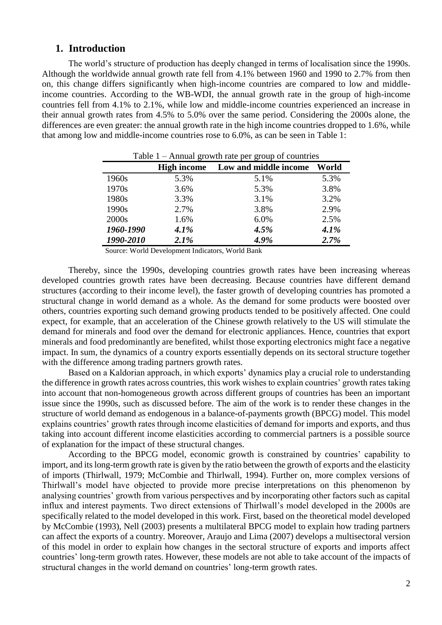## **1. Introduction**

The world's structure of production has deeply changed in terms of localisation since the 1990s. Although the worldwide annual growth rate fell from 4.1% between 1960 and 1990 to 2.7% from then on, this change differs significantly when high-income countries are compared to low and middleincome countries. According to the WB-WDI, the annual growth rate in the group of high-income countries fell from 4.1% to 2.1%, while low and middle-income countries experienced an increase in their annual growth rates from 4.5% to 5.0% over the same period. Considering the 2000s alone, the differences are even greater: the annual growth rate in the high income countries dropped to 1.6%, while that among low and middle-income countries rose to 6.0%, as can be seen in Table 1:

|           |                    | rable $I - A$ linual growm rate per group or countries |       |  |  |  |
|-----------|--------------------|--------------------------------------------------------|-------|--|--|--|
|           | <b>High income</b> | Low and middle income                                  | World |  |  |  |
| 1960s     | 5.3%               | 5.1%                                                   | 5.3%  |  |  |  |
| 1970s     | 3.6%               | 5.3%                                                   | 3.8%  |  |  |  |
| 1980s     | 3.3%               | 3.1%                                                   | 3.2%  |  |  |  |
| 1990s     | 2.7%               | 3.8%                                                   | 2.9%  |  |  |  |
| 2000s     | 1.6%               | 6.0%                                                   | 2.5%  |  |  |  |
| 1960-1990 | 4.1%               | 4.5%                                                   | 4.1%  |  |  |  |
| 1990-2010 | 2.1%               | 4.9%                                                   | 2.7%  |  |  |  |

| Table $1 -$ Annual growth rate per group of countries |  |
|-------------------------------------------------------|--|
|-------------------------------------------------------|--|

Source: World Development Indicators, World Bank

Thereby, since the 1990s, developing countries growth rates have been increasing whereas developed countries growth rates have been decreasing. Because countries have different demand structures (according to their income level), the faster growth of developing countries has promoted a structural change in world demand as a whole. As the demand for some products were boosted over others, countries exporting such demand growing products tended to be positively affected. One could expect, for example, that an acceleration of the Chinese growth relatively to the US will stimulate the demand for minerals and food over the demand for electronic appliances. Hence, countries that export minerals and food predominantly are benefited, whilst those exporting electronics might face a negative impact. In sum, the dynamics of a country exports essentially depends on its sectoral structure together with the difference among trading partners growth rates.

Based on a Kaldorian approach, in which exports' dynamics play a crucial role to understanding the difference in growth rates across countries, this work wishes to explain countries' growth rates taking into account that non-homogeneous growth across different groups of countries has been an important issue since the 1990s, such as discussed before. The aim of the work is to render these changes in the structure of world demand as endogenous in a balance-of-payments growth (BPCG) model. This model explains countries' growth rates through income elasticities of demand for imports and exports, and thus taking into account different income elasticities according to commercial partners is a possible source of explanation for the impact of these structural changes.

According to the BPCG model, economic growth is constrained by countries' capability to import, and its long-term growth rate is given by the ratio between the growth of exports and the elasticity of imports (Thirlwall, 1979; McCombie and Thirlwall, 1994). Further on, more complex versions of Thirlwall's model have objected to provide more precise interpretations on this phenomenon by analysing countries' growth from various perspectives and by incorporating other factors such as capital influx and interest payments. Two direct extensions of Thirlwall's model developed in the 2000s are specifically related to the model developed in this work. First, based on the theoretical model developed by McCombie (1993), Nell (2003) presents a multilateral BPCG model to explain how trading partners can affect the exports of a country. Moreover, Araujo and Lima (2007) develops a multisectoral version of this model in order to explain how changes in the sectoral structure of exports and imports affect countries' long-term growth rates. However, these models are not able to take account of the impacts of structural changes in the world demand on countries' long-term growth rates.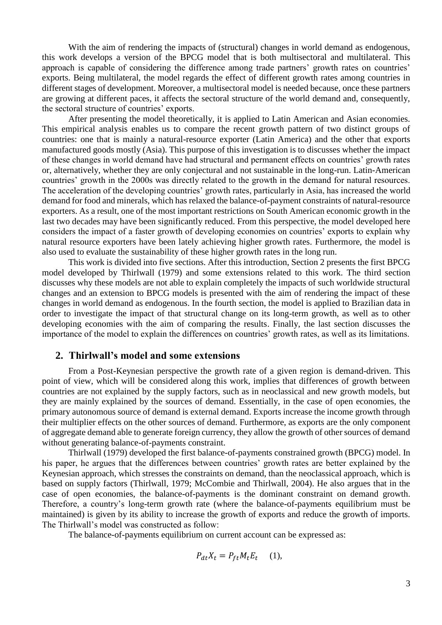With the aim of rendering the impacts of (structural) changes in world demand as endogenous, this work develops a version of the BPCG model that is both multisectoral and multilateral. This approach is capable of considering the difference among trade partners' growth rates on countries' exports. Being multilateral, the model regards the effect of different growth rates among countries in different stages of development. Moreover, a multisectoral model is needed because, once these partners are growing at different paces, it affects the sectoral structure of the world demand and, consequently, the sectoral structure of countries' exports.

After presenting the model theoretically, it is applied to Latin American and Asian economies. This empirical analysis enables us to compare the recent growth pattern of two distinct groups of countries: one that is mainly a natural-resource exporter (Latin America) and the other that exports manufactured goods mostly (Asia). This purpose of this investigation is to discusses whether the impact of these changes in world demand have had structural and permanent effects on countries' growth rates or, alternatively, whether they are only conjectural and not sustainable in the long-run. Latin-American countries' growth in the 2000s was directly related to the growth in the demand for natural resources. The acceleration of the developing countries' growth rates, particularly in Asia, has increased the world demand for food and minerals, which has relaxed the balance-of-payment constraints of natural-resource exporters. As a result, one of the most important restrictions on South American economic growth in the last two decades may have been significantly reduced. From this perspective, the model developed here considers the impact of a faster growth of developing economies on countries' exports to explain why natural resource exporters have been lately achieving higher growth rates. Furthermore, the model is also used to evaluate the sustainability of these higher growth rates in the long run.

This work is divided into five sections. After this introduction, Section 2 presents the first BPCG model developed by Thirlwall (1979) and some extensions related to this work. The third section discusses why these models are not able to explain completely the impacts of such worldwide structural changes and an extension to BPCG models is presented with the aim of rendering the impact of these changes in world demand as endogenous. In the fourth section, the model is applied to Brazilian data in order to investigate the impact of that structural change on its long-term growth, as well as to other developing economies with the aim of comparing the results. Finally, the last section discusses the importance of the model to explain the differences on countries' growth rates, as well as its limitations.

## **2. Thirlwall's model and some extensions**

From a Post-Keynesian perspective the growth rate of a given region is demand-driven. This point of view, which will be considered along this work, implies that differences of growth between countries are not explained by the supply factors, such as in neoclassical and new growth models, but they are mainly explained by the sources of demand. Essentially, in the case of open economies, the primary autonomous source of demand is external demand. Exports increase the income growth through their multiplier effects on the other sources of demand. Furthermore, as exports are the only component of aggregate demand able to generate foreign currency, they allow the growth of other sources of demand without generating balance-of-payments constraint.

Thirlwall (1979) developed the first balance-of-payments constrained growth (BPCG) model. In his paper, he argues that the differences between countries' growth rates are better explained by the Keynesian approach, which stresses the constraints on demand, than the neoclassical approach, which is based on supply factors (Thirlwall, 1979; McCombie and Thirlwall, 2004). He also argues that in the case of open economies, the balance-of-payments is the dominant constraint on demand growth. Therefore, a country's long-term growth rate (where the balance-of-payments equilibrium must be maintained) is given by its ability to increase the growth of exports and reduce the growth of imports. The Thirlwall's model was constructed as follow:

The balance-of-payments equilibrium on current account can be expressed as:

$$
P_{dt}X_t = P_{ft}M_t E_t \quad (1),
$$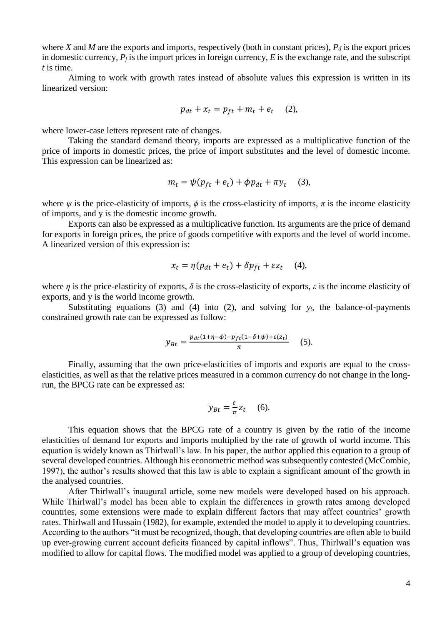where *X* and *M* are the exports and imports, respectively (both in constant prices),  $P_d$  is the export prices in domestic currency,  $P_f$  is the import prices in foreign currency,  $E$  is the exchange rate, and the subscript *t* is time.

Aiming to work with growth rates instead of absolute values this expression is written in its linearized version:

$$
p_{dt} + x_t = p_{ft} + m_t + e_t \quad (2),
$$

where lower-case letters represent rate of changes.

Taking the standard demand theory, imports are expressed as a multiplicative function of the price of imports in domestic prices, the price of import substitutes and the level of domestic income. This expression can be linearized as:

$$
m_t = \psi(p_{ft} + e_t) + \phi p_{dt} + \pi y_t \quad (3),
$$

where  $\psi$  is the price-elasticity of imports,  $\phi$  is the cross-elasticity of imports,  $\pi$  is the income elasticity of imports, and y is the domestic income growth.

Exports can also be expressed as a multiplicative function. Its arguments are the price of demand for exports in foreign prices, the price of goods competitive with exports and the level of world income. A linearized version of this expression is:

$$
x_t = \eta(p_{dt} + e_t) + \delta p_{ft} + \varepsilon z_t \quad (4),
$$

where  $\eta$  is the price-elasticity of exports,  $\delta$  is the cross-elasticity of exports,  $\varepsilon$  is the income elasticity of exports, and y is the world income growth.

Substituting equations (3) and (4) into (2), and solving for  $y_t$ , the balance-of-payments constrained growth rate can be expressed as follow:

$$
y_{Bt} = \frac{p_{dt}(1+\eta-\phi)-p_{ft}(1-\delta+\psi)+\varepsilon(z_t)}{\pi} \quad (5).
$$

Finally, assuming that the own price-elasticities of imports and exports are equal to the crosselasticities, as well as that the relative prices measured in a common currency do not change in the longrun, the BPCG rate can be expressed as:

$$
y_{Bt} = \frac{\varepsilon}{\pi} z_t \quad (6).
$$

This equation shows that the BPCG rate of a country is given by the ratio of the income elasticities of demand for exports and imports multiplied by the rate of growth of world income. This equation is widely known as Thirlwall's law. In his paper, the author applied this equation to a group of several developed countries. Although his econometric method was subsequently contested (McCombie, 1997), the author's results showed that this law is able to explain a significant amount of the growth in the analysed countries.

After Thirlwall's inaugural article, some new models were developed based on his approach. While Thirlwall's model has been able to explain the differences in growth rates among developed countries, some extensions were made to explain different factors that may affect countries' growth rates. Thirlwall and Hussain (1982), for example, extended the model to apply it to developing countries. According to the authors "it must be recognized, though, that developing countries are often able to build up ever-growing current account deficits financed by capital inflows". Thus, Thirlwall's equation was modified to allow for capital flows. The modified model was applied to a group of developing countries,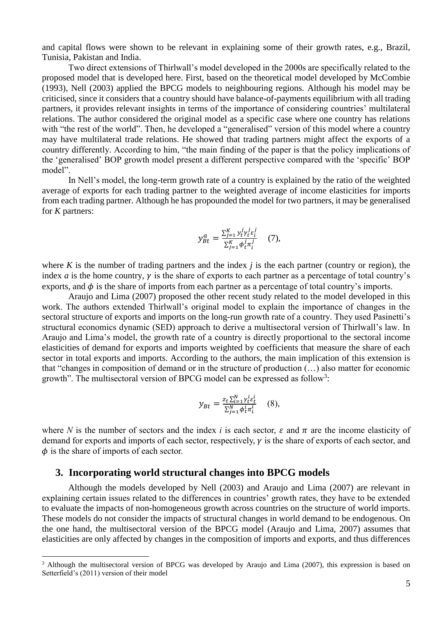and capital flows were shown to be relevant in explaining some of their growth rates, e.g., Brazil, Tunisia, Pakistan and India.

Two direct extensions of Thirlwall's model developed in the 2000s are specifically related to the proposed model that is developed here. First, based on the theoretical model developed by McCombie (1993), Nell (2003) applied the BPCG models to neighbouring regions. Although his model may be criticised, since it considers that a country should have balance-of-payments equilibrium with all trading partners, it provides relevant insights in terms of the importance of considering countries' multilateral relations. The author considered the original model as a specific case where one country has relations with "the rest of the world". Then, he developed a "generalised" version of this model where a country may have multilateral trade relations. He showed that trading partners might affect the exports of a country differently. According to him, "the main finding of the paper is that the policy implications of the 'generalised' BOP growth model present a different perspective compared with the 'specific' BOP model".

In Nell's model, the long-term growth rate of a country is explained by the ratio of the weighted average of exports for each trading partner to the weighted average of income elasticities for imports from each trading partner. Although he has propounded the model for two partners, it may be generalised for *K* partners:

$$
y_{Bt}^a = \frac{\sum_{j=1}^K y_t^j \gamma_t^j \varepsilon_i^j}{\sum_{j=1}^K \phi_t^j \pi_i^j}
$$
 (7),

where  $K$  is the number of trading partners and the index  $j$  is the each partner (country or region), the index *a* is the home country,  $\gamma$  is the share of exports to each partner as a percentage of total country's exports, and  $\phi$  is the share of imports from each partner as a percentage of total country's imports.

Araujo and Lima (2007) proposed the other recent study related to the model developed in this work. The authors extended Thirlwall's original model to explain the importance of changes in the sectoral structure of exports and imports on the long-run growth rate of a country. They used Pasinetti's structural economics dynamic (SED) approach to derive a multisectoral version of Thirlwall's law. In Araujo and Lima's model, the growth rate of a country is directly proportional to the sectoral income elasticities of demand for exports and imports weighted by coefficients that measure the share of each sector in total exports and imports. According to the authors, the main implication of this extension is that "changes in composition of demand or in the structure of production (…) also matter for economic growth". The multisectoral version of BPCG model can be expressed as follow<sup>3</sup>:

$$
y_{Bt} = \frac{z_t \sum_{i=1}^{N} \gamma_t^i \varepsilon_t^i}{\sum_{j=1}^{N} \phi_t^i \pi_t^i}
$$
 (8),

where *N* is the number of sectors and the index *i* is each sector,  $\varepsilon$  and  $\pi$  are the income elasticity of demand for exports and imports of each sector, respectively,  $\gamma$  is the share of exports of each sector, and  $\phi$  is the share of imports of each sector.

## **3. Incorporating world structural changes into BPCG models**

<u>.</u>

Although the models developed by Nell (2003) and Araujo and Lima (2007) are relevant in explaining certain issues related to the differences in countries' growth rates, they have to be extended to evaluate the impacts of non-homogeneous growth across countries on the structure of world imports. These models do not consider the impacts of structural changes in world demand to be endogenous. On the one hand, the multisectoral version of the BPCG model (Araujo and Lima, 2007) assumes that elasticities are only affected by changes in the composition of imports and exports, and thus differences

<sup>&</sup>lt;sup>3</sup> Although the multisectoral version of BPCG was developed by Araujo and Lima (2007), this expression is based on Setterfield's (2011) version of their model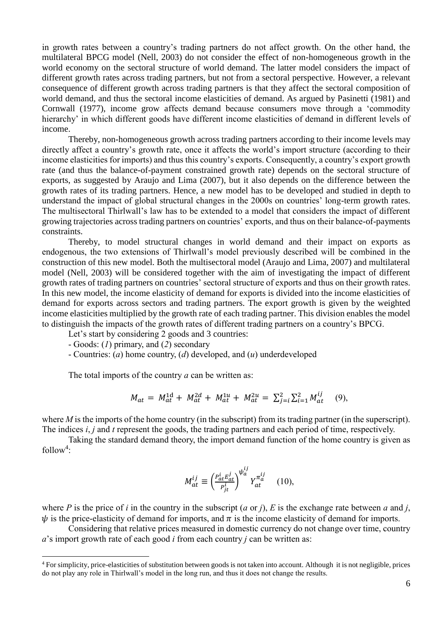in growth rates between a country's trading partners do not affect growth. On the other hand, the multilateral BPCG model (Nell, 2003) do not consider the effect of non-homogeneous growth in the world economy on the sectoral structure of world demand. The latter model considers the impact of different growth rates across trading partners, but not from a sectoral perspective. However, a relevant consequence of different growth across trading partners is that they affect the sectoral composition of world demand, and thus the sectoral income elasticities of demand. As argued by Pasinetti (1981) and Cornwall (1977), income grow affects demand because consumers move through a 'commodity hierarchy' in which different goods have different income elasticities of demand in different levels of income.

Thereby, non-homogeneous growth across trading partners according to their income levels may directly affect a country's growth rate, once it affects the world's import structure (according to their income elasticities for imports) and thus this country's exports. Consequently, a country's export growth rate (and thus the balance-of-payment constrained growth rate) depends on the sectoral structure of exports, as suggested by Araujo and Lima (2007), but it also depends on the difference between the growth rates of its trading partners. Hence, a new model has to be developed and studied in depth to understand the impact of global structural changes in the 2000s on countries' long-term growth rates. The multisectoral Thirlwall's law has to be extended to a model that considers the impact of different growing trajectories across trading partners on countries' exports, and thus on their balance-of-payments constraints.

Thereby, to model structural changes in world demand and their impact on exports as endogenous, the two extensions of Thirlwall's model previously described will be combined in the construction of this new model. Both the multisectoral model (Araujo and Lima, 2007) and multilateral model (Nell, 2003) will be considered together with the aim of investigating the impact of different growth rates of trading partners on countries' sectoral structure of exports and thus on their growth rates. In this new model, the income elasticity of demand for exports is divided into the income elasticities of demand for exports across sectors and trading partners. The export growth is given by the weighted income elasticities multiplied by the growth rate of each trading partner. This division enables the model to distinguish the impacts of the growth rates of different trading partners on a country's BPCG.

Let's start by considering 2 goods and 3 countries:

- Goods: (*1*) primary, and (*2*) secondary

<u>.</u>

- Countries: (*a*) home country, (*d*) developed, and (*u*) underdeveloped

The total imports of the country *a* can be written as:

$$
M_{at} = M_{at}^{1d} + M_{at}^{2d} + M_{at}^{1u} + M_{at}^{2u} = \sum_{j=i}^{2} \sum_{i=1}^{2} M_{at}^{ij} \quad (9)
$$

where *M* is the imports of the home country (in the subscript) from its trading partner (in the superscript). The indices *i*, *j* and *t* represent the goods, the trading partners and each period of time, respectively.

Taking the standard demand theory, the import demand function of the home country is given as  $follow<sup>4</sup>:$ 

$$
M_{at}^{ij} \equiv \left(\frac{P_{at}^i E_{at}^j}{P_{jt}^i}\right)^{\psi_a^{ij}} Y_{at}^{\pi_a^{ij}} \quad (10),
$$

where *P* is the price of *i* in the country in the subscript  $(a \text{ or } j)$ , *E* is the exchange rate between *a* and *j*,  $\psi$  is the price-elasticity of demand for imports, and  $\pi$  is the income elasticity of demand for imports.

Considering that relative prices measured in domestic currency do not change over time, country *a*'s import growth rate of each good *i* from each country *j* can be written as:

<sup>&</sup>lt;sup>4</sup> For simplicity, price-elasticities of substitution between goods is not taken into account. Although it is not negligible, prices do not play any role in Thirlwall's model in the long run, and thus it does not change the results.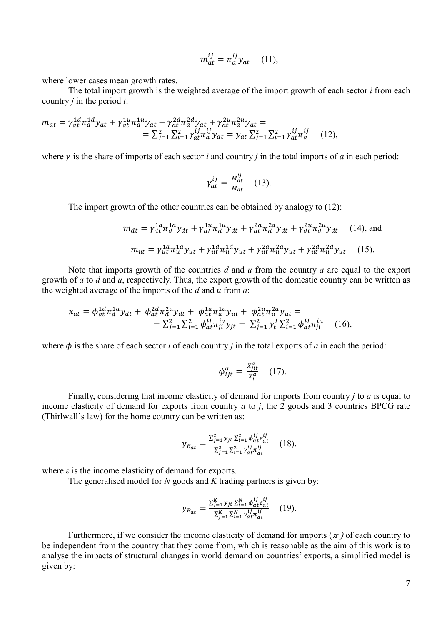$$
m_{at}^{ij} = \pi_a^{ij} y_{at} \quad (11),
$$

where lower cases mean growth rates.

The total import growth is the weighted average of the import growth of each sector *i* from each country *j* in the period *t*:

$$
m_{at} = \gamma_{at}^{1d} \pi_a^{1d} y_{at} + \gamma_{at}^{1u} \pi_a^{1u} y_{at} + \gamma_{at}^{2d} \pi_a^{2d} y_{at} + \gamma_{at}^{2u} \pi_a^{2u} y_{at} =
$$
  

$$
= \sum_{j=1}^2 \sum_{i=1}^2 \gamma_{at}^{ij} \pi_a^{ij} y_{at} = y_{at} \sum_{j=1}^2 \sum_{i=1}^2 \gamma_{at}^{ij} \pi_a^{ij}
$$
 (12),

where  $\gamma$  is the share of imports of each sector *i* and country *j* in the total imports of *a* in each period:

$$
\gamma_{at}^{ij} = \frac{M_{at}^{ij}}{M_{at}} \quad (13).
$$

The import growth of the other countries can be obtained by analogy to (12):

$$
m_{dt} = \gamma_{dt}^{1a} \pi_d^{1a} y_{dt} + \gamma_{dt}^{1u} \pi_d^{1u} y_{dt} + \gamma_{dt}^{2a} \pi_d^{2a} y_{dt} + \gamma_{dt}^{2u} \pi_d^{2u} y_{dt}
$$
 (14), and  

$$
m_{ut} = \gamma_{ut}^{1a} \pi_u^{1a} y_{ut} + \gamma_{ut}^{1d} \pi_u^{1d} y_{ut} + \gamma_{ut}^{2a} \pi_u^{2a} y_{ut} + \gamma_{ut}^{2d} \pi_u^{2d} y_{ut}
$$
 (15).

Note that imports growth of the countries *d* and *u* from the country *a* are equal to the export growth of *a* to *d* and *u*, respectively. Thus, the export growth of the domestic country can be written as the weighted average of the imports of the *d* and *u* from *a*:

$$
x_{at} = \phi_{at}^{1d} \pi_d^{1a} y_{dt} + \phi_{at}^{2d} \pi_d^{2a} y_{dt} + \phi_{at}^{1u} \pi_u^{1a} y_{ut} + \phi_{at}^{2u} \pi_u^{2a} y_{ut} =
$$
  

$$
= \sum_{j=1}^2 \sum_{i=1}^2 \phi_{at}^{ij} \pi_{ji}^{ia} y_{jt} = \sum_{j=1}^2 y_t^j \sum_{i=1}^2 \phi_{at}^{ij} \pi_{ji}^{ia} \qquad (16),
$$

where  $\phi$  is the share of each sector *i* of each country *j* in the total exports of *a* in each the period:

$$
\phi_{ijt}^a = \frac{x_{jit}^a}{x_t^a} \quad (17).
$$

Finally, considering that income elasticity of demand for imports from country *j* to *a* is equal to income elasticity of demand for exports from country *a* to *j*, the 2 goods and 3 countries BPCG rate (Thirlwall's law) for the home country can be written as:

$$
y_{B_{at}} = \frac{\sum_{j=1}^{2} y_{jt} \sum_{i=1}^{2} \phi_{at}^{ij} \epsilon_{ai}^{ij}}{\sum_{j=1}^{2} \sum_{i=1}^{2} y_{at}^{ij} \tau_{ai}^{ij}} \qquad (18).
$$

where  $\varepsilon$  is the income elasticity of demand for exports.

The generalised model for *N* goods and *K* trading partners is given by:

$$
y_{Bat} = \frac{\sum_{j=1}^{K} y_{jt} \sum_{i=1}^{N} \phi_{at}^{ij} \epsilon_{ai}^{ij}}{\sum_{j=1}^{K} \sum_{i=1}^{N} y_{at}^{ij} \tau_{ai}^{ij}} \qquad (19).
$$

Furthermore, if we consider the income elasticity of demand for imports ( $\pi$ ) of each country to be independent from the country that they come from, which is reasonable as the aim of this work is to analyse the impacts of structural changes in world demand on countries' exports, a simplified model is given by: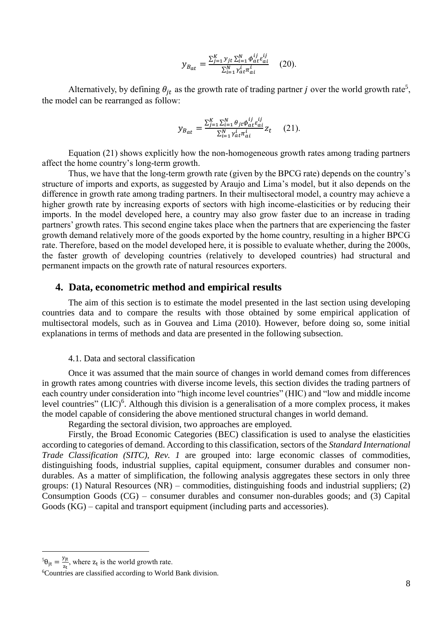$$
y_{B_{at}} = \frac{\sum_{j=1}^{K} y_{jt} \sum_{i=1}^{N} \phi_{at}^{ij} \epsilon_{ai}^{ij}}{\sum_{i=1}^{N} \gamma_{at}^{i} \pi_{ai}^{i}} \quad (20).
$$

Alternatively, by defining  $\theta_{jt}$  as the growth rate of trading partner *j* over the world growth rate<sup>5</sup>, the model can be rearranged as follow:

$$
y_{B_{at}} = \frac{\sum_{j=1}^{K} \sum_{i=1}^{N} \theta_{jt} \phi_{at}^{ij} \varepsilon_{ai}^{ij}}{\sum_{i=1}^{N} \gamma_{at}^{i} \pi_{ai}^{i}} z_{t}
$$
 (21).

Equation (21) shows explicitly how the non-homogeneous growth rates among trading partners affect the home country's long-term growth.

Thus, we have that the long-term growth rate (given by the BPCG rate) depends on the country's structure of imports and exports, as suggested by Araujo and Lima's model, but it also depends on the difference in growth rate among trading partners. In their multisectoral model, a country may achieve a higher growth rate by increasing exports of sectors with high income-elasticities or by reducing their imports. In the model developed here, a country may also grow faster due to an increase in trading partners' growth rates. This second engine takes place when the partners that are experiencing the faster growth demand relatively more of the goods exported by the home country, resulting in a higher BPCG rate. Therefore, based on the model developed here, it is possible to evaluate whether, during the 2000s, the faster growth of developing countries (relatively to developed countries) had structural and permanent impacts on the growth rate of natural resources exporters.

## **4. Data, econometric method and empirical results**

The aim of this section is to estimate the model presented in the last section using developing countries data and to compare the results with those obtained by some empirical application of multisectoral models, such as in Gouvea and Lima (2010). However, before doing so, some initial explanations in terms of methods and data are presented in the following subsection.

#### 4.1. Data and sectoral classification

Once it was assumed that the main source of changes in world demand comes from differences in growth rates among countries with diverse income levels, this section divides the trading partners of each country under consideration into "high income level countries" (HIC) and "low and middle income level countries"  $(LIC)^6$ . Although this division is a generalisation of a more complex process, it makes the model capable of considering the above mentioned structural changes in world demand.

Regarding the sectoral division, two approaches are employed.

Firstly, the Broad Economic Categories (BEC) classification is used to analyse the elasticities according to categories of demand. According to this classification, sectors of the *Standard International Trade Classification (SITC), Rev. 1* are grouped into: large economic classes of commodities, distinguishing foods, industrial supplies, capital equipment, consumer durables and consumer nondurables. As a matter of simplification, the following analysis aggregates these sectors in only three groups: (1) Natural Resources (NR) – commodities, distinguishing foods and industrial suppliers; (2) Consumption Goods (CG) – consumer durables and consumer non-durables goods; and (3) Capital Goods (KG) – capital and transport equipment (including parts and accessories).

<u>.</u>

 $^{5}\theta_{\rm jt} = \frac{\text{y}_{\rm jt}}{\text{z}_{\rm t}}$  $\frac{y_1t}{z_t}$ , where  $z_t$  is the world growth rate.

<sup>6</sup>Countries are classified according to World Bank division.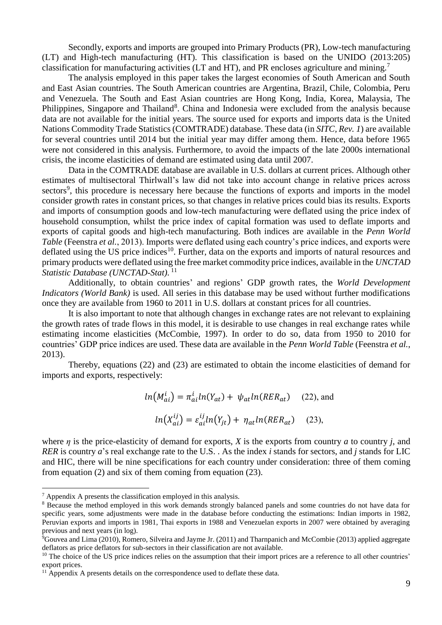Secondly, exports and imports are grouped into Primary Products (PR), Low-tech manufacturing (LT) and High-tech manufacturing (HT). This classification is based on the UNIDO (2013:205) classification for manufacturing activities (LT and HT), and PR encloses agriculture and mining.<sup>7</sup>

The analysis employed in this paper takes the largest economies of South American and South and East Asian countries. The South American countries are Argentina, Brazil, Chile, Colombia, Peru and Venezuela. The South and East Asian countries are Hong Kong, India, Korea, Malaysia, The Philippines, Singapore and Thailand<sup>8</sup>. China and Indonesia were excluded from the analysis because data are not available for the initial years. The source used for exports and imports data is the United Nations Commodity Trade Statistics (COMTRADE) database. These data (in *SITC, Rev. 1*) are available for several countries until 2014 but the initial year may differ among them. Hence, data before 1965 were not considered in this analysis. Furthermore, to avoid the impacts of the late 2000s international crisis, the income elasticities of demand are estimated using data until 2007.

Data in the COMTRADE database are available in U.S. dollars at current prices. Although other estimates of multisectoral Thirlwall's law did not take into account change in relative prices across sectors<sup>9</sup>, this procedure is necessary here because the functions of exports and imports in the model consider growth rates in constant prices, so that changes in relative prices could bias its results. Exports and imports of consumption goods and low-tech manufacturing were deflated using the price index of household consumption, whilst the price index of capital formation was used to deflate imports and exports of capital goods and high-tech manufacturing. Both indices are available in the *Penn World Table* (Feenstra *et al.*, 2013). Imports were deflated using each country's price indices, and exports were deflated using the US price indices<sup>10</sup>. Further, data on the exports and imports of natural resources and primary products were deflated using the free market commodity price indices, available in the *UNCTAD Statistic Database (UNCTAD-Stat)*. 11

Additionally, to obtain countries' and regions' GDP growth rates, the *World Development Indicators (World Bank)* is used. All series in this database may be used without further modifications once they are available from 1960 to 2011 in U.S. dollars at constant prices for all countries.

It is also important to note that although changes in exchange rates are not relevant to explaining the growth rates of trade flows in this model, it is desirable to use changes in real exchange rates while estimating income elasticities (McCombie, 1997). In order to do so, data from 1950 to 2010 for countries' GDP price indices are used. These data are available in the *Penn World Table* (Feenstra *et al.*, 2013).

Thereby, equations (22) and (23) are estimated to obtain the income elasticities of demand for imports and exports, respectively:

$$
ln(M_{ai}^i) = \pi_{ai}^i ln(Y_{at}) + \psi_{at} ln(RER_{at})
$$
 (22), and  

$$
ln(X_{ai}^{ij}) = \varepsilon_{ai}^{ij} ln(Y_{jt}) + \eta_{at} ln(RER_{at})
$$
 (23),

where *η* is the price-elasticity of demand for exports, *X* is the exports from country *a* to country *j*, and *RER* is country *a*'s real exchange rate to the U.S. . As the index *i* stands for sectors, and *j* stands for LIC and HIC, there will be nine specifications for each country under consideration: three of them coming from equation (2) and six of them coming from equation (23).

<sup>7</sup> Appendix A presents the classification employed in this analysis.

<sup>8</sup> Because the method employed in this work demands strongly balanced panels and some countries do not have data for specific years, some adjustments were made in the database before conducting the estimations: Indian imports in 1982, Peruvian exports and imports in 1981, Thai exports in 1988 and Venezuelan exports in 2007 were obtained by averaging previous and next years (in log).

 $\overline{9}$ Gouvea and Lima (2010), Romero, Silveira and Jayme Jr. (2011) and Tharnpanich and McCombie (2013) applied aggregate deflators as price deflators for sub-sectors in their classification are not available.

<sup>&</sup>lt;sup>10</sup> The choice of the US price indices relies on the assumption that their import prices are a reference to all other countries' export prices.

<sup>&</sup>lt;sup>11</sup> Appendix A presents details on the correspondence used to deflate these data.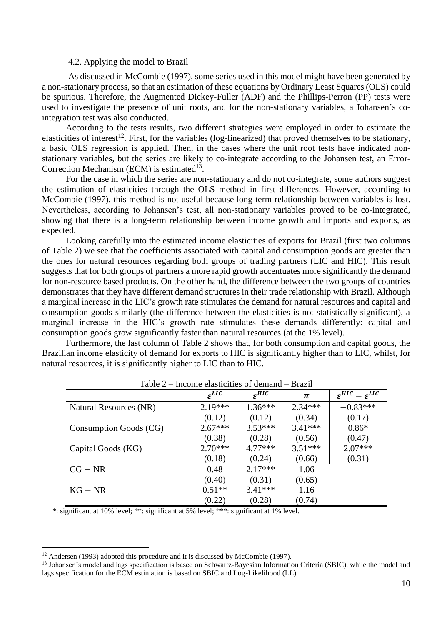#### 4.2. Applying the model to Brazil

As discussed in McCombie (1997), some series used in this model might have been generated by a non-stationary process, so that an estimation of these equations by Ordinary Least Squares (OLS) could be spurious. Therefore, the Augmented Dickey-Fuller (ADF) and the Phillips-Perron (PP) tests were used to investigate the presence of unit roots, and for the non-stationary variables, a Johansen's cointegration test was also conducted.

According to the tests results, two different strategies were employed in order to estimate the elasticities of interest<sup>12</sup>. First, for the variables (log-linearized) that proved themselves to be stationary, a basic OLS regression is applied. Then, in the cases where the unit root tests have indicated nonstationary variables, but the series are likely to co-integrate according to the Johansen test, an Error-Correction Mechanism (ECM) is estimated<sup>13</sup>.

For the case in which the series are non-stationary and do not co-integrate, some authors suggest the estimation of elasticities through the OLS method in first differences. However, according to McCombie (1997), this method is not useful because long-term relationship between variables is lost. Nevertheless, according to Johansen's test, all non-stationary variables proved to be co-integrated, showing that there is a long-term relationship between income growth and imports and exports, as expected.

Looking carefully into the estimated income elasticities of exports for Brazil (first two columns of Table 2) we see that the coefficients associated with capital and consumption goods are greater than the ones for natural resources regarding both groups of trading partners (LIC and HIC). This result suggests that for both groups of partners a more rapid growth accentuates more significantly the demand for non-resource based products. On the other hand, the difference between the two groups of countries demonstrates that they have different demand structures in their trade relationship with Brazil. Although a marginal increase in the LIC's growth rate stimulates the demand for natural resources and capital and consumption goods similarly (the difference between the elasticities is not statistically significant), a marginal increase in the HIC's growth rate stimulates these demands differently: capital and consumption goods grow significantly faster than natural resources (at the 1% level).

Furthermore, the last column of Table 2 shows that, for both consumption and capital goods, the Brazilian income elasticity of demand for exports to HIC is significantly higher than to LIC, whilst, for natural resources, it is significantly higher to LIC than to HIC.

| $10010 -$              | meonie chastientes of gemand |                     |           |                                   |
|------------------------|------------------------------|---------------------|-----------|-----------------------------------|
|                        | $\varepsilon^{LIC}$          | $\varepsilon^{HIC}$ | π         | $\epsilon^{HIC} - \epsilon^{LIC}$ |
| Natural Resources (NR) | $2.19***$                    | $1.36***$           | $2.34***$ | $-0.83***$                        |
|                        | (0.12)                       | (0.12)              | (0.34)    | (0.17)                            |
| Consumption Goods (CG) | $2.67***$                    | $3.53***$           | $3.41***$ | $0.86*$                           |
|                        | (0.38)                       | (0.28)              | (0.56)    | (0.47)                            |
| Capital Goods (KG)     | $2.70***$                    | $4.77***$           | $3.51***$ | $2.07***$                         |
|                        | (0.18)                       | (0.24)              | (0.66)    | (0.31)                            |
| $CG - NR$              | 0.48                         | $2.17***$           | 1.06      |                                   |
|                        | (0.40)                       | (0.31)              | (0.65)    |                                   |
| $KG - NR$              | $0.51**$                     | $3.41***$           | 1.16      |                                   |
|                        | (0.22)                       | (0.28)              | (0.74)    |                                   |

Table 2 – Income elasticities of demand – Brazil

\*: significant at 10% level; \*\*: significant at 5% level; \*\*\*: significant at 1% level.

<sup>&</sup>lt;sup>12</sup> Andersen (1993) adopted this procedure and it is discussed by McCombie (1997).

<sup>13</sup> Johansen's model and lags specification is based on Schwartz-Bayesian Information Criteria (SBIC), while the model and lags specification for the ECM estimation is based on SBIC and Log-Likelihood (LL).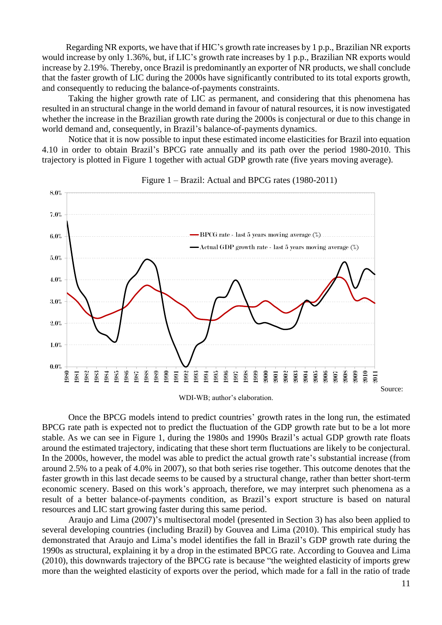Regarding NR exports, we have that if HIC's growth rate increases by 1 p.p., Brazilian NR exports would increase by only 1.36%, but, if LIC's growth rate increases by 1 p.p., Brazilian NR exports would increase by 2.19%. Thereby, once Brazil is predominantly an exporter of NR products, we shall conclude that the faster growth of LIC during the 2000s have significantly contributed to its total exports growth, and consequently to reducing the balance-of-payments constraints.

Taking the higher growth rate of LIC as permanent, and considering that this phenomena has resulted in an structural change in the world demand in favour of natural resources, it is now investigated whether the increase in the Brazilian growth rate during the 2000s is conjectural or due to this change in world demand and, consequently, in Brazil's balance-of-payments dynamics.

Notice that it is now possible to input these estimated income elasticities for Brazil into equation 4.10 in order to obtain Brazil's BPCG rate annually and its path over the period 1980-2010. This trajectory is plotted in Figure 1 together with actual GDP growth rate (five years moving average).



#### Figure 1 – Brazil: Actual and BPCG rates (1980-2011)

Once the BPCG models intend to predict countries' growth rates in the long run, the estimated BPCG rate path is expected not to predict the fluctuation of the GDP growth rate but to be a lot more stable. As we can see in Figure 1, during the 1980s and 1990s Brazil's actual GDP growth rate floats around the estimated trajectory, indicating that these short term fluctuations are likely to be conjectural. In the 2000s, however, the model was able to predict the actual growth rate's substantial increase (from around 2.5% to a peak of 4.0% in 2007), so that both series rise together. This outcome denotes that the faster growth in this last decade seems to be caused by a structural change, rather than better short-term economic scenery. Based on this work's approach, therefore, we may interpret such phenomena as a result of a better balance-of-payments condition, as Brazil's export structure is based on natural resources and LIC start growing faster during this same period.

Araujo and Lima (2007)'s multisectoral model (presented in Section 3) has also been applied to several developing countries (including Brazil) by Gouvea and Lima (2010). This empirical study has demonstrated that Araujo and Lima's model identifies the fall in Brazil's GDP growth rate during the 1990s as structural, explaining it by a drop in the estimated BPCG rate. According to Gouvea and Lima (2010), this downwards trajectory of the BPCG rate is because "the weighted elasticity of imports grew more than the weighted elasticity of exports over the period, which made for a fall in the ratio of trade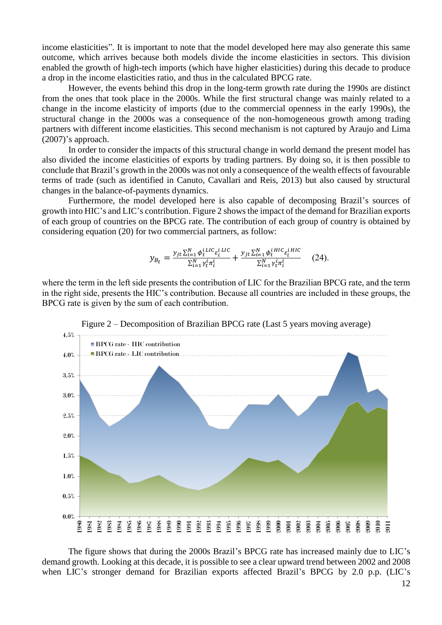income elasticities". It is important to note that the model developed here may also generate this same outcome, which arrives because both models divide the income elasticities in sectors. This division enabled the growth of high-tech imports (which have higher elasticities) during this decade to produce a drop in the income elasticities ratio, and thus in the calculated BPCG rate.

However, the events behind this drop in the long-term growth rate during the 1990s are distinct from the ones that took place in the 2000s. While the first structural change was mainly related to a change in the income elasticity of imports (due to the commercial openness in the early 1990s), the structural change in the 2000s was a consequence of the non-homogeneous growth among trading partners with different income elasticities. This second mechanism is not captured by Araujo and Lima (2007)'s approach.

In order to consider the impacts of this structural change in world demand the present model has also divided the income elasticities of exports by trading partners. By doing so, it is then possible to conclude that Brazil's growth in the 2000s was not only a consequence of the wealth effects of favourable terms of trade (such as identified in Canuto, Cavallari and Reis, 2013) but also caused by structural changes in the balance-of-payments dynamics.

Furthermore, the model developed here is also capable of decomposing Brazil's sources of growth into HIC's and LIC's contribution. Figure 2 shows the impact of the demand for Brazilian exports of each group of countries on the BPCG rate. The contribution of each group of country is obtained by considering equation (20) for two commercial partners, as follow:

$$
y_{B_t} = \frac{y_{jt} \sum_{i=1}^N \phi_t^{i \, \text{LIC}} \varepsilon_i^{i \, \text{LIC}}}{\sum_{i=1}^N \gamma_t^i \pi_i^i} + \frac{y_{jt} \sum_{i=1}^N \phi_t^{i \, \text{HIC}} \varepsilon_i^{i \, \text{HIC}}}{\sum_{i=1}^N \gamma_t^i \pi_i^i}
$$
 (24).

where the term in the left side presents the contribution of LIC for the Brazilian BPCG rate, and the term in the right side, presents the HIC's contribution. Because all countries are included in these groups, the BPCG rate is given by the sum of each contribution.



Figure 2 – Decomposition of Brazilian BPCG rate (Last 5 years moving average)

The figure shows that during the 2000s Brazil's BPCG rate has increased mainly due to LIC's demand growth. Looking at this decade, it is possible to see a clear upward trend between 2002 and 2008 when LIC's stronger demand for Brazilian exports affected Brazil's BPCG by 2.0 p.p. (LIC's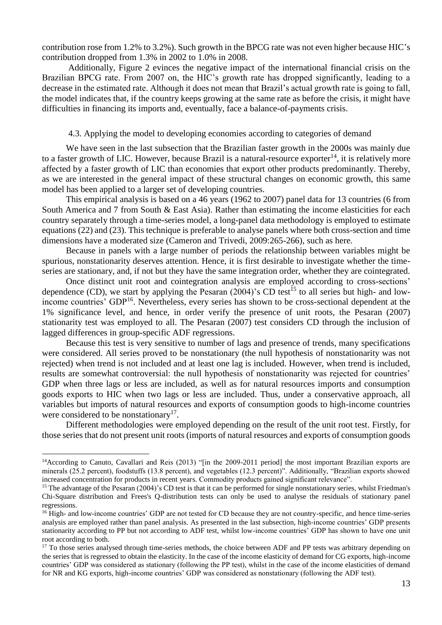contribution rose from 1.2% to 3.2%). Such growth in the BPCG rate was not even higher because HIC's contribution dropped from 1.3% in 2002 to 1.0% in 2008.

Additionally, Figure 2 evinces the negative impact of the international financial crisis on the Brazilian BPCG rate. From 2007 on, the HIC's growth rate has dropped significantly, leading to a decrease in the estimated rate. Although it does not mean that Brazil's actual growth rate is going to fall, the model indicates that, if the country keeps growing at the same rate as before the crisis, it might have difficulties in financing its imports and, eventually, face a balance-of-payments crisis.

#### 4.3. Applying the model to developing economies according to categories of demand

We have seen in the last subsection that the Brazilian faster growth in the 2000s was mainly due to a faster growth of LIC. However, because Brazil is a natural-resource exporter<sup>14</sup>, it is relatively more affected by a faster growth of LIC than economies that export other products predominantly. Thereby, as we are interested in the general impact of these structural changes on economic growth, this same model has been applied to a larger set of developing countries.

This empirical analysis is based on a 46 years (1962 to 2007) panel data for 13 countries (6 from South America and 7 from South & East Asia). Rather than estimating the income elasticities for each country separately through a time-series model, a long-panel data methodology is employed to estimate equations (22) and (23). This technique is preferable to analyse panels where both cross-section and time dimensions have a moderated size (Cameron and Trivedi, 2009:265-266), such as here.

Because in panels with a large number of periods the relationship between variables might be spurious, nonstationarity deserves attention. Hence, it is first desirable to investigate whether the timeseries are stationary, and, if not but they have the same integration order, whether they are cointegrated.

Once distinct unit root and cointegration analysis are employed according to cross-sections' dependence (CD), we start by applying the Pesaran (2004)'s CD test<sup>15</sup> to all series but high- and lowincome countries' GDP<sup>16</sup>. Nevertheless, every series has shown to be cross-sectional dependent at the 1% significance level, and hence, in order verify the presence of unit roots, the Pesaran (2007) stationarity test was employed to all. The Pesaran (2007) test considers CD through the inclusion of lagged differences in group-specific ADF regressions.

Because this test is very sensitive to number of lags and presence of trends, many specifications were considered. All series proved to be nonstationary (the null hypothesis of nonstationarity was not rejected) when trend is not included and at least one lag is included. However, when trend is included, results are somewhat controversial: the null hypothesis of nonstationarity was rejected for countries' GDP when three lags or less are included, as well as for natural resources imports and consumption goods exports to HIC when two lags or less are included. Thus, under a conservative approach, all variables but imports of natural resources and exports of consumption goods to high-income countries were considered to be nonstationary<sup>17</sup>.

Different methodologies were employed depending on the result of the unit root test. Firstly, for those series that do not present unit roots (imports of natural resources and exports of consumption goods

<sup>&</sup>lt;sup>14</sup>According to Canuto, Cavallari and Reis (2013) "[in the 2009-2011 period] the most important Brazilian exports are minerals (25.2 percent), foodstuffs (13.8 percent), and vegetables (12.3 percent)". Additionally, "Brazilian exports showed increased concentration for products in recent years. Commodity products gained significant relevance".

<sup>&</sup>lt;sup>15</sup> The advantage of the Pesaran (2004)'s CD test is that it can be performed for single nonstationary series, whilst Friedman's Chi-Square distribution and Frees's Q-distribution tests can only be used to analyse the residuals of stationary panel regressions.

<sup>&</sup>lt;sup>16</sup> High- and low-income countries' GDP are not tested for CD because they are not country-specific, and hence time-series analysis are employed rather than panel analysis. As presented in the last subsection, high-income countries' GDP presents stationarity according to PP but not according to ADF test, whilst low-income countries' GDP has shown to have one unit root according to both.

<sup>&</sup>lt;sup>17</sup> To those series analysed through time-series methods, the choice between ADF and PP tests was arbitrary depending on the series that is regressed to obtain the elasticity. In the case of the income elasticity of demand for CG exports, high-income countries' GDP was considered as stationary (following the PP test), whilst in the case of the income elasticities of demand for NR and KG exports, high-income countries' GDP was considered as nonstationary (following the ADF test).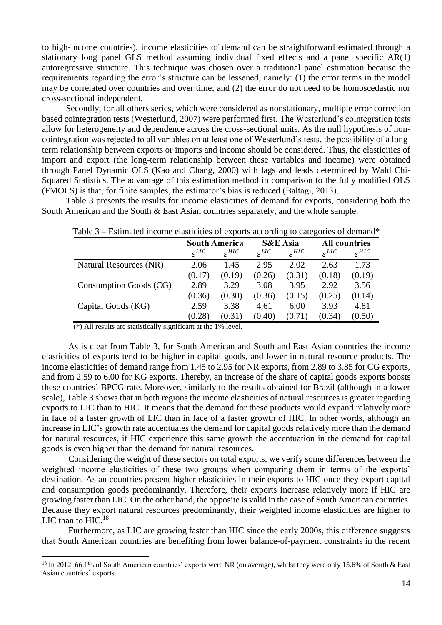to high-income countries), income elasticities of demand can be straightforward estimated through a stationary long panel GLS method assuming individual fixed effects and a panel specific AR(1) autoregressive structure. This technique was chosen over a traditional panel estimation because the requirements regarding the error's structure can be lessened, namely: (1) the error terms in the model may be correlated over countries and over time; and (2) the error do not need to be homoscedastic nor cross-sectional independent.

Secondly, for all others series, which were considered as nonstationary, multiple error correction based cointegration tests (Westerlund, 2007) were performed first. The Westerlund's cointegration tests allow for heterogeneity and dependence across the cross-sectional units. As the null hypothesis of noncointegration was rejected to all variables on at least one of Westerlund's tests, the possibility of a longterm relationship between exports or imports and income should be considered. Thus, the elasticities of import and export (the long-term relationship between these variables and income) were obtained through Panel Dynamic OLS (Kao and Chang, 2000) with lags and leads determined by Wald Chi-Squared Statistics. The advantage of this estimation method in comparison to the fully modified OLS (FMOLS) is that, for finite samples, the estimator's bias is reduced (Baltagi, 2013).

Table 3 presents the results for income elasticities of demand for exports, considering both the South American and the South & East Asian countries separately, and the whole sample.

| Table 5 – Estimated income elasticities of exports according to categories of demand |                      |                     |                     |                     |                      |                     |
|--------------------------------------------------------------------------------------|----------------------|---------------------|---------------------|---------------------|----------------------|---------------------|
|                                                                                      | <b>South America</b> |                     | <b>S&amp;E</b> Asia |                     | <b>All countries</b> |                     |
|                                                                                      | $\mathcal{E}^{LIC}$  | $\mathcal{E}^{HIC}$ | $\mathcal{E}^{LIC}$ | $\varepsilon^{HIC}$ | $\mathcal{E}^{LIC}$  | $\varepsilon^{HIC}$ |
| Natural Resources (NR)                                                               | 2.06                 | 1.45                | 2.95                | 2.02                | 2.63                 | 1.73                |
|                                                                                      | (0.17)               | (0.19)              | (0.26)              | (0.31)              | (0.18)               | (0.19)              |
| Consumption Goods (CG)                                                               | 2.89                 | 3.29                | 3.08                | 3.95                | 2.92                 | 3.56                |
|                                                                                      | (0.36)               | (0.30)              | (0.36)              | (0.15)              | (0.25)               | (0.14)              |
| Capital Goods (KG)                                                                   | 2.59                 | 3.38                | 4.61                | 6.00                | 3.93                 | 4.81                |
|                                                                                      | (0.28)               | (0.31)              | (0.40)              | (0.71)              | (0.34)               | (0.50)              |

Table 3 – Estimated income elasticities of exports according to categories of demand\*

 $(*)$  All results are statistically significant at the 1% level.

<u>.</u>

As is clear from Table 3, for South American and South and East Asian countries the income elasticities of exports tend to be higher in capital goods, and lower in natural resource products. The income elasticities of demand range from 1.45 to 2.95 for NR exports, from 2.89 to 3.85 for CG exports, and from 2.59 to 6.00 for KG exports. Thereby, an increase of the share of capital goods exports boosts these countries' BPCG rate. Moreover, similarly to the results obtained for Brazil (although in a lower scale), Table 3 shows that in both regions the income elasticities of natural resources is greater regarding exports to LIC than to HIC. It means that the demand for these products would expand relatively more in face of a faster growth of LIC than in face of a faster growth of HIC. In other words, although an increase in LIC's growth rate accentuates the demand for capital goods relatively more than the demand for natural resources, if HIC experience this same growth the accentuation in the demand for capital goods is even higher than the demand for natural resources.

Considering the weight of these sectors on total exports, we verify some differences between the weighted income elasticities of these two groups when comparing them in terms of the exports' destination. Asian countries present higher elasticities in their exports to HIC once they export capital and consumption goods predominantly. Therefore, their exports increase relatively more if HIC are growing faster than LIC. On the other hand, the opposite is valid in the case of South American countries. Because they export natural resources predominantly, their weighted income elasticities are higher to LIC than to  $HIC.<sup>18</sup>$ 

Furthermore, as LIC are growing faster than HIC since the early 2000s, this difference suggests that South American countries are benefiting from lower balance-of-payment constraints in the recent

<sup>&</sup>lt;sup>18</sup> In 2012, 66.1% of South American countries' exports were NR (on average), whilst they were only 15.6% of South & East Asian countries' exports.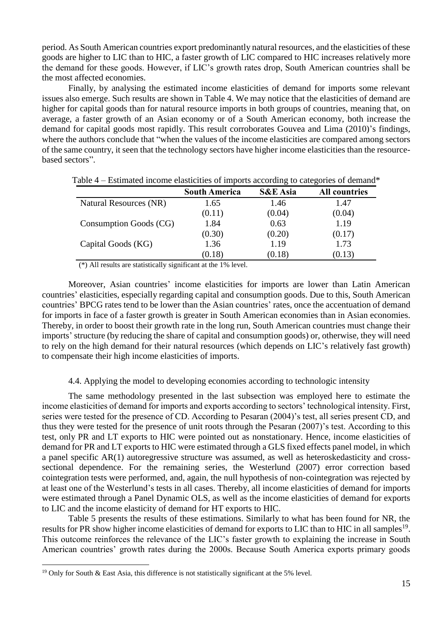period. As South American countries export predominantly natural resources, and the elasticities of these goods are higher to LIC than to HIC, a faster growth of LIC compared to HIC increases relatively more the demand for these goods. However, if LIC's growth rates drop, South American countries shall be the most affected economies.

Finally, by analysing the estimated income elasticities of demand for imports some relevant issues also emerge. Such results are shown in Table 4. We may notice that the elasticities of demand are higher for capital goods than for natural resource imports in both groups of countries, meaning that, on average, a faster growth of an Asian economy or of a South American economy, both increase the demand for capital goods most rapidly. This result corroborates Gouvea and Lima (2010)'s findings, where the authors conclude that "when the values of the income elasticities are compared among sectors of the same country, it seen that the technology sectors have higher income elasticities than the resourcebased sectors".

|                        | <b>South America</b> | <b>S&amp;E</b> Asia | <b>All countries</b> |
|------------------------|----------------------|---------------------|----------------------|
| Natural Resources (NR) | 1.65                 | 1.46                | 1.47                 |
|                        | (0.11)               | (0.04)              | (0.04)               |
| Consumption Goods (CG) | 1.84                 | 0.63                | 1.19                 |
|                        | (0.30)               | (0.20)              | (0.17)               |
| Capital Goods (KG)     | 1.36                 | 1.19                | 1.73                 |
|                        | (0.18)               | (0.18)              | (0.13)               |

Table 4 – Estimated income elasticities of imports according to categories of demand\*

(\*) All results are statistically significant at the 1% level.

Moreover, Asian countries' income elasticities for imports are lower than Latin American countries' elasticities, especially regarding capital and consumption goods. Due to this, South American countries' BPCG rates tend to be lower than the Asian countries' rates, once the accentuation of demand for imports in face of a faster growth is greater in South American economies than in Asian economies. Thereby, in order to boost their growth rate in the long run, South American countries must change their imports' structure (by reducing the share of capital and consumption goods) or, otherwise, they will need to rely on the high demand for their natural resources (which depends on LIC's relatively fast growth) to compensate their high income elasticities of imports.

#### 4.4. Applying the model to developing economies according to technologic intensity

The same methodology presented in the last subsection was employed here to estimate the income elasticities of demand for imports and exports according to sectors' technological intensity. First, series were tested for the presence of CD. According to Pesaran (2004)'s test, all series present CD, and thus they were tested for the presence of unit roots through the Pesaran (2007)'s test. According to this test, only PR and LT exports to HIC were pointed out as nonstationary. Hence, income elasticities of demand for PR and LT exports to HIC were estimated through a GLS fixed effects panel model, in which a panel specific AR(1) autoregressive structure was assumed, as well as heteroskedasticity and crosssectional dependence. For the remaining series, the Westerlund (2007) error correction based cointegration tests were performed, and, again, the null hypothesis of non-cointegration was rejected by at least one of the Westerlund's tests in all cases. Thereby, all income elasticities of demand for imports were estimated through a Panel Dynamic OLS, as well as the income elasticities of demand for exports to LIC and the income elasticity of demand for HT exports to HIC.

Table 5 presents the results of these estimations. Similarly to what has been found for NR, the results for PR show higher income elasticities of demand for exports to LIC than to HIC in all samples<sup>19</sup>. This outcome reinforces the relevance of the LIC's faster growth to explaining the increase in South American countries' growth rates during the 2000s. Because South America exports primary goods

<sup>&</sup>lt;sup>19</sup> Only for South & East Asia, this difference is not statistically significant at the 5% level.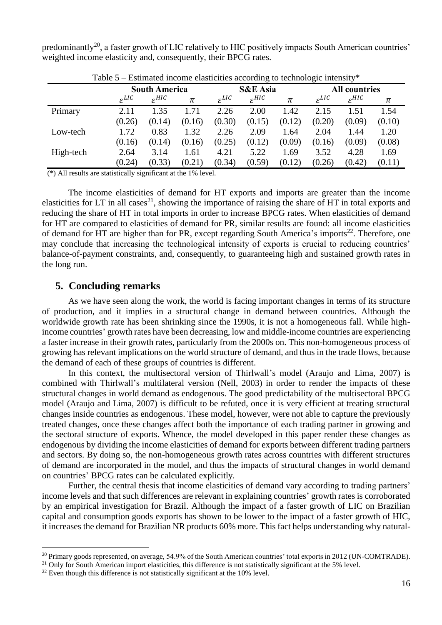predominantly<sup>20</sup>, a faster growth of LIC relatively to HIC positively impacts South American countries' weighted income elasticity and, consequently, their BPCG rates.

| Estimated mesmo ensitentes according to technologie michael |                      |                     |        |                     |                     |        |                      |                     |        |
|-------------------------------------------------------------|----------------------|---------------------|--------|---------------------|---------------------|--------|----------------------|---------------------|--------|
|                                                             | <b>South America</b> |                     |        | <b>S&amp;E</b> Asia |                     |        | <b>All countries</b> |                     |        |
|                                                             | $\varepsilon^{LIC}$  | $\varepsilon^{HIC}$ | π      | $\varepsilon^{LIC}$ | $\varepsilon^{HIC}$ | π      | $\varepsilon^{LIC}$  | $\varepsilon^{HIC}$ | π      |
| Primary                                                     | 2.11                 | 1.35                | 1.71   | 2.26                | 2.00                | 1.42   | 2.15                 | 1.51                | 1.54   |
|                                                             | (0.26)               | (0.14)              | (0.16) | (0.30)              | (0.15)              | (0.12) | (0.20)               | (0.09)              | (0.10) |
| Low-tech                                                    | 1.72                 | 0.83                | 1.32   | 2.26                | 2.09                | 1.64   | 2.04                 | 1.44                | 1.20   |
|                                                             | (0.16)               | (0.14)              | (0.16) | (0.25)              | (0.12)              | (0.09) | (0.16)               | (0.09)              | (0.08) |
| High-tech                                                   | 2.64                 | 3.14                | 1.61   | 4.21                | 5.22                | 1.69   | 3.52                 | 4.28                | 1.69   |
|                                                             | (0.24)               | (0.33)              | (0.21) | (0.34)              | (0.59)              | (0.12) | (0.26)               | (0.42)              | (0.11) |

Table  $5 -$  Estimated income elasticities according to technologic intensity\*

(\*) All results are statistically significant at the 1% level.

The income elasticities of demand for HT exports and imports are greater than the income elasticities for LT in all cases<sup>21</sup>, showing the importance of raising the share of HT in total exports and reducing the share of HT in total imports in order to increase BPCG rates. When elasticities of demand for HT are compared to elasticities of demand for PR, similar results are found: all income elasticities of demand for HT are higher than for PR, except regarding South America's imports<sup>22</sup>. Therefore, one may conclude that increasing the technological intensity of exports is crucial to reducing countries' balance-of-payment constraints, and, consequently, to guaranteeing high and sustained growth rates in the long run.

## **5. Concluding remarks**

1

As we have seen along the work, the world is facing important changes in terms of its structure of production, and it implies in a structural change in demand between countries. Although the worldwide growth rate has been shrinking since the 1990s, it is not a homogeneous fall. While highincome countries' growth rates have been decreasing, low and middle-income countries are experiencing a faster increase in their growth rates, particularly from the 2000s on. This non-homogeneous process of growing has relevant implications on the world structure of demand, and thus in the trade flows, because the demand of each of these groups of countries is different.

In this context, the multisectoral version of Thirlwall's model (Araujo and Lima, 2007) is combined with Thirlwall's multilateral version (Nell, 2003) in order to render the impacts of these structural changes in world demand as endogenous. The good predictability of the multisectoral BPCG model (Araujo and Lima, 2007) is difficult to be refuted, once it is very efficient at treating structural changes inside countries as endogenous. These model, however, were not able to capture the previously treated changes, once these changes affect both the importance of each trading partner in growing and the sectoral structure of exports. Whence, the model developed in this paper render these changes as endogenous by dividing the income elasticities of demand for exports between different trading partners and sectors. By doing so, the non-homogeneous growth rates across countries with different structures of demand are incorporated in the model, and thus the impacts of structural changes in world demand on countries' BPCG rates can be calculated explicitly.

Further, the central thesis that income elasticities of demand vary according to trading partners' income levels and that such differences are relevant in explaining countries' growth rates is corroborated by an empirical investigation for Brazil. Although the impact of a faster growth of LIC on Brazilian capital and consumption goods exports has shown to be lower to the impact of a faster growth of HIC, it increases the demand for Brazilian NR products 60% more. This fact helps understanding why natural-

<sup>21</sup> Only for South American import elasticities, this difference is not statistically significant at the 5% level.

<sup>&</sup>lt;sup>20</sup> Primary goods represented, on average, 54.9% of the South American countries' total exports in 2012 (UN-COMTRADE).

 $22$  Even though this difference is not statistically significant at the 10% level.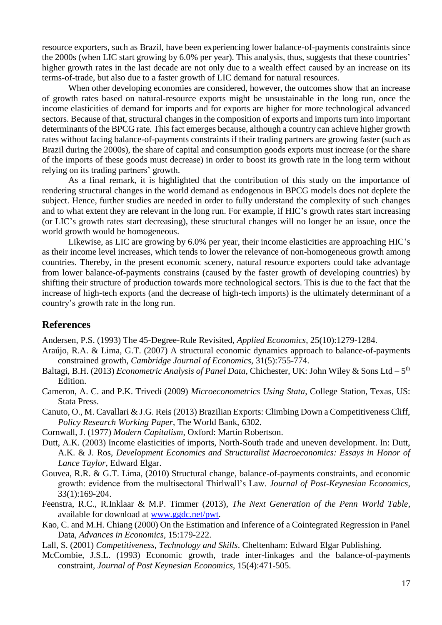resource exporters, such as Brazil, have been experiencing lower balance-of-payments constraints since the 2000s (when LIC start growing by 6.0% per year). This analysis, thus, suggests that these countries' higher growth rates in the last decade are not only due to a wealth effect caused by an increase on its terms-of-trade, but also due to a faster growth of LIC demand for natural resources.

When other developing economies are considered, however, the outcomes show that an increase of growth rates based on natural-resource exports might be unsustainable in the long run, once the income elasticities of demand for imports and for exports are higher for more technological advanced sectors. Because of that, structural changes in the composition of exports and imports turn into important determinants of the BPCG rate. This fact emerges because, although a country can achieve higher growth rates without facing balance-of-payments constraints if their trading partners are growing faster (such as Brazil during the 2000s), the share of capital and consumption goods exports must increase (or the share of the imports of these goods must decrease) in order to boost its growth rate in the long term without relying on its trading partners' growth.

As a final remark, it is highlighted that the contribution of this study on the importance of rendering structural changes in the world demand as endogenous in BPCG models does not deplete the subject. Hence, further studies are needed in order to fully understand the complexity of such changes and to what extent they are relevant in the long run. For example, if HIC's growth rates start increasing (or LIC's growth rates start decreasing), these structural changes will no longer be an issue, once the world growth would be homogeneous.

Likewise, as LIC are growing by 6.0% per year, their income elasticities are approaching HIC's as their income level increases, which tends to lower the relevance of non-homogeneous growth among countries. Thereby, in the present economic scenery, natural resource exporters could take advantage from lower balance-of-payments constrains (caused by the faster growth of developing countries) by shifting their structure of production towards more technological sectors. This is due to the fact that the increase of high-tech exports (and the decrease of high-tech imports) is the ultimately determinant of a country's growth rate in the long run.

## **References**

Andersen, P.S. (1993) The 45-Degree-Rule Revisited, *Applied Economics*, 25(10):1279-1284.

- Araújo, R.A. & Lima, G.T. (2007) A structural economic dynamics approach to balance-of-payments constrained growth, *Cambridge Journal of Economics*, 31(5):755-774.
- Baltagi, B.H. (2013) *Econometric Analysis of Panel Data*, Chichester, UK: John Wiley & Sons Ltd 5<sup>th</sup> Edition.
- Cameron, A. C. and P.K. Trivedi (2009) *Microeconometrics Using Stata*, College Station, Texas, US: Stata Press.
- Canuto, O., M. Cavallari & J.G. Reis (2013) Brazilian Exports: Climbing Down a Competitiveness Cliff, *Policy Research Working Paper*, The World Bank, 6302.

Cornwall, J. (1977) *Modern Capitalism*, Oxford: Martin Robertson.

- Dutt, A.K. (2003) Income elasticities of imports, North-South trade and uneven development. In: Dutt, A.K. & J. Ros, *Development Economics and Structuralist Macroeconomics: Essays in Honor of Lance Taylor*, Edward Elgar.
- Gouvea, R.R. & G.T. Lima, (2010) Structural change, balance-of-payments constraints, and economic growth: evidence from the multisectoral Thirlwall's Law. *Journal of Post-Keynesian Economics*, 33(1):169-204.
- Feenstra, R.C., R.Inklaar & M.P. Timmer (2013), *The Next Generation of the Penn World Table*, available for download at [www.ggdc.net/pwt.](http://www.ggdc.net/pwt)
- Kao, C. and M.H. Chiang (2000) On the Estimation and Inference of a Cointegrated Regression in Panel Data, *Advances in Economics*, 15:179-222.
- Lall, S. (2001) *Competitiveness, Technology and Skills*. Cheltenham: Edward Elgar Publishing.
- McCombie, J.S.L. (1993) Economic growth, trade inter-linkages and the balance-of-payments constraint, *Journal of Post Keynesian Economics*, 15(4):471-505.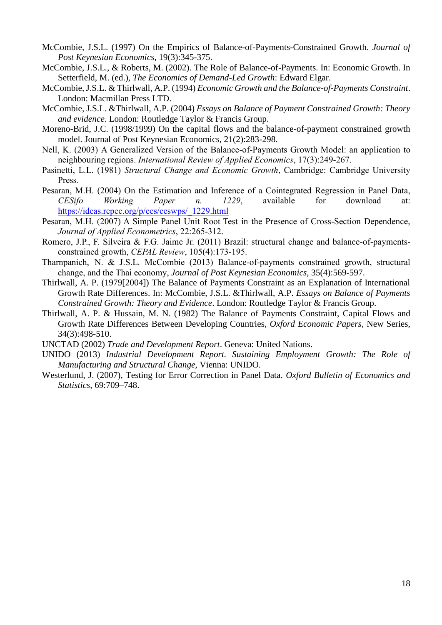- McCombie, J.S.L. (1997) On the Empirics of Balance-of-Payments-Constrained Growth. *Journal of Post Keynesian Economics*, 19(3):345-375.
- McCombie, J.S.L., & Roberts, M. (2002). The Role of Balance-of-Payments. In: Economic Growth. In Setterfield, M. (ed.), *The Economics of Demand-Led Growth*: Edward Elgar.
- McCombie, J.S.L. & Thirlwall, A.P. (1994) *Economic Growth and the Balance-of-Payments Constraint*. London: Macmillan Press LTD.
- McCombie, J.S.L. &Thirlwall, A.P. (2004) *Essays on Balance of Payment Constrained Growth: Theory and evidence*. London: Routledge Taylor & Francis Group.
- Moreno-Brid, J.C. (1998/1999) On the capital flows and the balance-of-payment constrained growth model. Journal of Post Keynesian Economics, 21(2):283-298.
- Nell, K. (2003) A Generalized Version of the Balance-of-Payments Growth Model: an application to neighbouring regions. *International Review of Applied Economics*, 17(3):249-267.
- Pasinetti, L.L. (1981) *Structural Change and Economic Growth*, Cambridge: Cambridge University Press.
- Pesaran, M.H. (2004) On the Estimation and Inference of a Cointegrated Regression in Panel Data, *CESifo Working Paper n. 1229*, available for download at: [https://ideas.repec.org/p/ces/ceswps/\\_1229.html](https://ideas.repec.org/p/ces/ceswps/_1229.html)
- Pesaran, M.H. (2007) A Simple Panel Unit Root Test in the Presence of Cross-Section Dependence, *Journal of Applied Econometrics*, 22:265-312.
- Romero, J.P., F. Silveira & F.G. Jaime Jr. (2011) Brazil: structural change and balance-of-paymentsconstrained growth, *CEPAL Review*, 105(4):173-195.
- Tharnpanich, N. & J.S.L. McCombie (2013) Balance-of-payments constrained growth, structural change, and the Thai economy, *Journal of Post Keynesian Economics*, 35(4):569-597.
- Thirlwall, A. P. (1979[2004]) The Balance of Payments Constraint as an Explanation of International Growth Rate Differences. In: McCombie, J.S.L. &Thirlwall, A.P. *Essays on Balance of Payments Constrained Growth: Theory and Evidence*. London: Routledge Taylor & Francis Group.
- Thirlwall, A. P. & Hussain, M. N. (1982) The Balance of Payments Constraint, Capital Flows and Growth Rate Differences Between Developing Countries, *Oxford Economic Papers*, New Series, 34(3):498-510.
- UNCTAD (2002) *Trade and Development Report*. Geneva: United Nations.
- UNIDO (2013) *Industrial Development Report. Sustaining Employment Growth: The Role of Manufacturing and Structural Change*, Vienna: UNIDO.
- Westerlund, J. (2007), Testing for Error Correction in Panel Data. *Oxford Bulletin of Economics and Statistics*, 69:709–748.